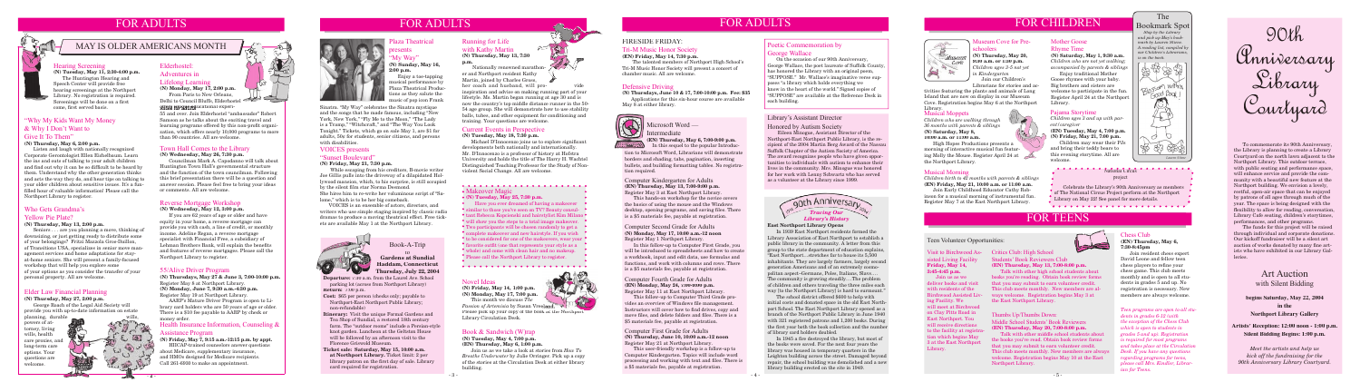# FOR ADULTS

**Departure:** 7:30 a.m. from the Laurel Ave. School parking lot (across from Northport Library) **Return:** 7:00 p.m.

- **Cost:** \$65 per person (checks only; payable to Northport-East Northport Public Library; non-refundable)
- **Itinerary:** Visit the unique Formal Gardens and Tea Shop of Sundial, a restored 18th century farm. The "outdoor rooms" include a Persian-style knot garden. Luncheon at the Geltston House will be followed by an afternoon visit to the Florence Griswold Museum.
- **Ticket sale: Saturday, May 15, 10:00 a.m. at Northport Library.** Ticket limit: 2 per library patron on the first day of sale. Library card required for registration.

### Book-A-Trip to

**Gardens at Sundial Haddam, Connecticut Thursday, July 22, 2004**

FOR ADULTS

## Health Insurance Information, Counseling &

#### Assistance Program **(N) Friday, May 7, 9:15 a.m.-12:15 p.m. by appt.**

HIICAP-trained counselors answer questions about Medicare, supplementary insurance, and HMOs designed for Medicare recipients. Call 261-6930 to make an appointment.





# FOR CHILDREN



#### Pajama Storytime

*Children ages 3 and up with parent/caregiver*

**(EN) Tuesday, May 4, 7:00 p.m. (N) Friday, May 21, 7:00 p.m.**

 Children may wear their PJs and bring their teddy bears to this evening storytime. All are welcome.

Michael D'Innocenzo joins us to explore significant developments both nationally and internationally. Mr. D'Innocenzo is a professor of history at Hofstra University and holds the title of The Harry H. Wachtel Distinguished Teaching Professor for the Study of Nonviolent Social Change. All are welcome.

#### • Makeover Magic

#### Novel Ideas

**(N) Friday, May 14, 1:00 p.m. (N) Monday, May 17, 7:00 p.m.** This month we discuss *The Passion of Artemisia* by Susan Vreeland.

Please pick up your copy of the book at the Northport Library Circulation Desk.

#### Book & Sandwich (W)rap

**(N) Tuesday, May 4, 7:00 p.m. (EN) Thursday, May 6, 1:00 p.m.**

Join us as we take a look at stories from *How To Breathe Underwater* by Julie Orringer. Pick up a copy of the stories at the Circulation Desk at either library building.

# FIRESIDE FRIDAY:

#### 55/Alive Driver Program

**(N) Thursdays, May 27 & June 3, 7:00-10:00 p.m.** Register May 8 at Northport Library. **(N) Monday, June 7, 9:30 a.m.-4:30 p.m.** Register May 19 at Northport Library.

#### My Way" **(N) Sunday, May 16, 2:00 p.m.**

 AARP's Mature Driver Program is open to Library card holders who are 50 years of age or older. There is a \$10 fee payable to AARP by check or money order.

planning, durable powers of attorney, living wills, health care proxies, and long-term care options. Your questions are welcome.



**(N) Tuesday, May 11, 2:30-4:00 p.m.** The Huntington Hearing and Speech Center will provide free hearing screenings at the Northport Library. No registration is required. Screenings will be done on a first come, first served basis.

## Current Events in Perspective

#### **(N) Tuesday, May 18, 7:30 p.m.**

#### Defensive Driving

### Microsoft Word — **Intermediate**

**(EN) Thursday, May 6, 7:00-9:00 p.m.** In this sequel to the popular Introduc-

**(N) Thursdays, June 10 & 17, 7:00-10:00 p.m. Fee: \$35**  Applications for this six-hour course are available May 8 at either library.



### Tri-M Music Honor Society

#### **(EN) Friday, May 14, 7:30 p.m.**

 The talented members of Northport High School's Tri-M Music Honor Society will present a concert of chamber music. All are welcome.

FOR ADULTS



#### **(N) Tuesday, May 25, 7:30 p.m.**

 While escaping from his creditors, B-movie writer Joe Gillis pulls into the driveway of a dilapidated Hollywood mansion, which, to his surprise, is still occupied by the silent film star Norma Desmond.

> Have you ever dreamed of having a makeover similar to those you've seen on TV? Beauty consultant Rebecca Kopcienski and hairstylist Kim Milano will show you the steps to a total image makeover. Two participants will be chosen randomly to get a complete makeover and new hairstyle. If you wish to be considered for one of the makeovers, wear your favorite outfit (one that represents your style as a whole) and come with clean hair and no makeup. Please call the Northport Library to register.

#### Computer Second Grade for Adults **(N) Monday, May 17, 10:00 a.m.-12 noon** Register May 1 Northport Library.

In this follow-up to Computer First Grade, you will be introduced to spreadsheets and how to create a workbook, input and edit data, use formulas and functions, and work with columns and rows. There is a \$5 materials fee, payable at registration.

 From Paris to New Orleans, Delhi to Council Bluffs, Elderhostel offers unique educational experi-

# Plaza Theatrical presents

 Enjoy a toe-tapping musical performance by Plaza Theatrical Productions as they salute the music of pop icon Frank

#### Elder Law Financial Planning

#### **(N) Thursday, May 27, 2:00 p.m.**

George Roach of the Legal Aid Society will provide you with up-to-date information on estate

#### Hearing Screening

#### "Why My Kids Want My Money & Why I Don't Want to Give It To Them"

#### **(N) Thursday, May 6, 2:00 p.m.**

 Listen and laugh with nationally recognized Corporate Gerontologist Ellen Eichelbaum. Learn the ins and outs of talking to your adult children and find out why it can be so difficult to be heard by them. Understand why the other generation thinks and acts the way they do, and hear tips on talking to your older children about sensitive issues. It's a funfi lled hour of valuable information! Please call the Northport Library to register.

#### Computer Kindergarten for Adults **(EN) Thursday, May 13, 7:00-9:00 p.m.** Register May 3 at East Northport Library.

 This hands-on workshop for the novice covers the basics of using the mouse and the Windows desktop, opening programs, and saving files. There is a \$5 materials fee, payable at registration.

#### Computer Fourth Grade for Adults **(EN) Monday, May 24, 7:00-9:00 p.m.** Register May 11 at East Northport Library.

This follow-up to Computer Third Grade provides an overview of Windows file management. Instructors will cover how to find drives, copy and move files, and delete folders and files. There is a \$5 materials fee, payable at registration.

55 and over. Join Elderhostel "ambassador" Robert Samson as he talks about the exciting travel and learning programs offered by this non-profit organization, which offers nearly 10,000 programs to more than 90 countries. All are welcome.

#### VOICES presents

#### "Sunset Boulevard"

#### **(N) Friday, May 21, 7:30 p.m.**

#### Museum Cove for Pre**choolers**

She hires him to re-write her voluminous script of "Salome," which is to be her big comeback.

 VOICES is an ensemble of actors, directors, and writers who use simple staging inspired by classic radio dramas to produce a moving theatrical effect. Free tickets are available May 1 at the Northport Library.



#### Who Gets Grandma's

#### Yellow Pie Plate?

#### **(N) Thursday, May 13, 2:00 p.m.**

her coach and husband, will proinspiration and advice on making running part of your lifestyle. Ms. Martin began running at age 30 and is now the country's top middle distance runner in the 50- 54 age group. She will demonstrate how to use stability balls, tubes, and other equipment for conditioning and training. Your questions are welcome.

Seniors . . . are you planning a move, thinking of downsizing, or just getting ready to distribute some of your belongings? Fritzi Mazzola Gros-Daillon, of Transitions USA, specializes in senior move management services and home adaptations for stayat-home seniors. She will present a family-focused workshop that will help you explore some of your options as you consider the transfer of your personal property. All are welcome.

#### Town Hall Comes to the Library **(N) Wednesday, May 26, 7:30 p.m.**

#### **Accessor** Mational Circus project

Councilman Mark A. Capodanno will talk about

Huntington Town Hall's governmental structure and the function of the town councilman. Following this brief presentation there will be a question and answer session. Please feel free to bring your ideas or comments. All are welcome.

#### Elderhostel:

# Adventures in

#### Lifelong Learning **(N) Monday, May 17, 2:00 p.m.**

#### Poetic Commemoration by George Wallace

 On the occasion of our 90th Anniversary, George Wallace, the poet laureate of Suffolk County, has honored the Library with an original poem. "SUPPOSE." Mr. Wallace's imaginative verse supposes "a library which holds everything we know in the heart of the world." Signed copies of "SUPPOSE" are available at the Reference Desk in each building.

#### Library's Assistant Director Honored by Autism Society

In 1945 a fire destroyed the library, but most of the books were saved. For the next four years the library was housed in temporary quarters in the Leighton building across the street. Damaged beyond repair, the school building was demolished and a new library building erected on the site in 1949.



 Eileen Minogue, Assistant Director of the Northport-East Northport Public Library, is the recipient of the 2004 Martin Berg Award of the Nassau Suffolk Chapter of the Autism Society of America. The award recognizes people who have given opportunities to individuals with autism to enhance their lives in the community. Mrs. Minogue was honored for her work with Lenny Schwartz who has served as a volunteer at the Library since 1999.

#### Chess Club **(EN) Thursday, May 6,**

**7:30-8:45pm** Join resident chess expert

David Leone and fellow teen chess players to refine your chess game. This club meets monthly and is open to all students in grades 5 and up. No registration is necessary. New members are always welcome.

*Teen programs are open to all students in grades 6-12 (with the exception of the Chess Club which is open to students in grades 5 and up). Registration is required for most programs and takes place at the Circulation Desk. If you have any questions regarding programs for teens, please call Mrs. Kindler, Librarian for Teens.*

Thumbs Up/Thumbs Down:

Middle School Students' Book Reviewers **(EN) Thursday, May 20, 7:00-8:00 p.m.**

Talk with other middle school students about

welcome. Registration begins May 10 at the East

Northport Library.

#### Visit to Birchwood As-Critics Club: High School sisted Living Facility **Friday, May 14, 3:45-4:45 p.m.**

 Join us as we deliver books and visit with residents of the Birchwood Assisted Liv-ways welcome. Registration begins May 3 at ing Facility. We will meet at Birchwood on Clay Pitts Road in East Northport. You will receive directions to the facility at registration which begins May 3 at the East Northport Library.



Students' Book Reviewers Club

**(EN) Thursday, May 13, 7:00-8:00 p.m.**

 Talk with other high school students about books you're reading. Obtain book review forms that you may submit to earn volunteer credit. This club meets monthly. New members are al-

the East Northport Library.

# FOR TEENS

 To commemorate its 90th Anniversary, the Library is planning to create a Library Courtyard on the north lawn adjacent to the Northport Library. This outdoor terrace, with public seating and performance space, will enhance service and provide the community with a beautiful new feature at the Northport building. We envision a lovely, restful, open-air space that can be enjoyed by patrons of all ages through much of the year. The space is being designed with the flexibility to allow for reading, conversation, Library Cafe seating, children's storytimes, performances, and other programs.

 The funds for this project will be raised through individual and corporate donations. Our kickoff fundraiser will be a silent art auction of works donated by many fine artists who have exhibited in our Library Galleries.

# 90th Anniversary Library Courtyard

## Art Auction with Silent Bidding

**begins Saturday, May 22, 2004 in the Northport Library Gallery**

**Artists' Reception: 12:00 noon - 1:00 p.m. Silent Bidding Begins: 1:00 p.m.**

*Lauren Stiene*

The Bookmark Spot  *Stop by the Library and pick up May's bookmark by Lauren Stiene.* 



# *A reading list, compiled by our Children's Librarians,*



*Meet the artists and help us kick off the fundraising for the 90th Anniversary Library Courtyard.* 

#### Mother Goose Rhyme Time

**(N) Saturday, May 1, 9:30 a.m.** *Children who are not yet walking; accompanied by parents & siblings*

Enjoy traditional Mother Goose rhymes with your baby. Big brothers and sisters are welcome to participate in the fun. Register April 24 at the Northport Library.

**(N) Thursday, May 20, 9:30 a.m. or 1:30 p.m.** *Children ages 3-5 not yet in Kindergarten*

 Join our Children's Librarians for stories and ac-

#### Musical Morning

*Children birth to 42 months with parents & siblings* **(EN) Friday, May 21, 10:00 a.m. or 11:00 a.m.**

 Join Early Childhood Educator Cathy Robinson for a musical morning of instrumental fun. Register May 7 at the East Northport Library.

#### Musical Moppets

*Children who are walking through 36 months with parents & siblings* **(N) Saturday, May 8, 10:00 a.m. or 11:00 a.m.**

 High Hopes Productions presents a morning of interactive musical fun featuring Molly the Mouse. Register April 24 at the Northport Library.

#### Teen Volunteer Opportunities:

tion to Microsoft Word, Librarians will demonstrate borders and shading, tabs, pagination, inserting bullets, and building formatting tables. No registration required.

#### Running for Life with Kathy Martin **(N) Thursday, May 13, 7:30**

**p.m.**

 Nationally renowned marathoner and Northport resident Kathy Martin, joined by Charles Gross,

#### Reverse Mortgage Workshop

**(N) Wednesday, May 12, 3:00 p.m.**

If you are 62 years of age or older and have equity in your home, a reverse mortgage can provide you with cash, a line of credit, or monthly income. Adeline Regan, a reverse mortgage specialist with Financial Free, a subsidiary of Lehman Brothers Bank, will explain the benefits and features of reverse mortgages. Please call the Northport Library to register.

# MAY IS OLDER AMERICANS MONTH

tivities featuring the plants and animals of Long Island that are now on display in our Museum Cove. Registration begins May 6 at the Northport Library.

> Celebrate the Library's 90th Anniversary as members of The National Circus Project perform at the Northport Library on May 22! See panel for more details.

Sinatra. "My Way" celebrates the Sinatra mystique and the songs that he made famous, including "New York, New York," "Fly Me to the Moon," "The Lady is a Tramp," "Witchcraft," and "The Way You Look Tonight." Tickets, which go on sale May 1, are \$1 for adults, 50¢ for students, senior citizens, and persons with disabilities.

#### Computer First Grade for Adults **(N) Thursday, June 10, 10:00 a.m.-12 noon** Register May 21 at Northport Library.

This user-friendly workshop is a follow-up to Computer Kindergarten. Topics will include word processing and working with text and files. There is a \$5 materials fee, payable at registration.

#### **East Northport Library Opens**

 In 1939 East Northport residents formed the Library Association of East Northport to establish a public library in the community. A letter from this group to the state department of education explains, "East Northport…stretches far to house its 5,500 inhabitants. They are largely farmers, largely second generation Americans and of an extremely cosmopolitan aspect–Germans, Poles, Italians, Slavs…. The community is growing steadily….The problem of children and others traveling the three miles each way [to the Northport Library] is hard to surmount."

 The school district offered \$600 to help with initial costs and donated space in the old East Northport School. The East Northport Library opened as a branch of the Northport Public Library in June 1940 with 321 registered patrons and 1,200 books. During the first year both the book collection and the number of library card holders doubled.